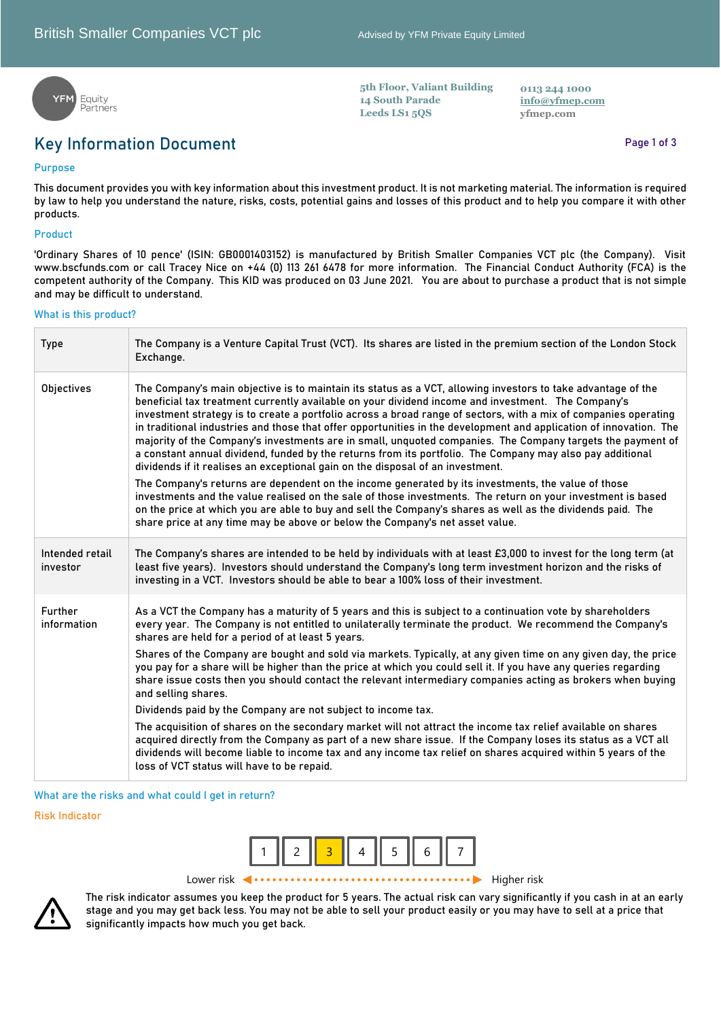**5th Floor, Valiant Building**

**14 South Parade Leeds LS1 5QS**



## **Key Information Document**

## **Purpose**

**This document provides you with key information about this investment product. It is not marketing material. The information is required by law to help you understand the nature, risks, costs, potential gains and losses of this product and to help you compare it with other products.**

## **Product**

**'Ordinary Shares of 10 pence' (ISIN: GB0001403152) is manufactured by British Smaller Companies VCT plc (the Company). Visit www.bscfunds.com or call Tracey Nice on +44 (0) 113 261 6478 for more information. The Financial Conduct Authority (FCA) is the competent authority of the Company. This KID was produced on 03 June 2021. You are about to purchase a product that is not simple and may be difficult to understand.** 

#### **What is this product?**

| <b>Type</b>                 | The Company is a Venture Capital Trust (VCT). Its shares are listed in the premium section of the London Stock<br>Exchange.                                                                                                                                                                                                                                                                                                                                                                                                                                                                                                                                                                                                                                              |
|-----------------------------|--------------------------------------------------------------------------------------------------------------------------------------------------------------------------------------------------------------------------------------------------------------------------------------------------------------------------------------------------------------------------------------------------------------------------------------------------------------------------------------------------------------------------------------------------------------------------------------------------------------------------------------------------------------------------------------------------------------------------------------------------------------------------|
| Objectives                  | The Company's main objective is to maintain its status as a VCT, allowing investors to take advantage of the<br>beneficial tax treatment currently available on your dividend income and investment. The Company's<br>investment strategy is to create a portfolio across a broad range of sectors, with a mix of companies operating<br>in traditional industries and those that offer opportunities in the development and application of innovation. The<br>majority of the Company's investments are in small, unquoted companies. The Company targets the payment of<br>a constant annual dividend, funded by the returns from its portfolio. The Company may also pay additional<br>dividends if it realises an exceptional gain on the disposal of an investment. |
|                             | The Company's returns are dependent on the income generated by its investments, the value of those<br>investments and the value realised on the sale of those investments. The return on your investment is based<br>on the price at which you are able to buy and sell the Company's shares as well as the dividends paid. The<br>share price at any time may be above or below the Company's net asset value.                                                                                                                                                                                                                                                                                                                                                          |
| Intended retail<br>investor | The Company's shares are intended to be held by individuals with at least £3,000 to invest for the long term (at<br>least five years). Investors should understand the Company's long term investment horizon and the risks of<br>investing in a VCT. Investors should be able to bear a 100% loss of their investment.                                                                                                                                                                                                                                                                                                                                                                                                                                                  |
| Further<br>information      | As a VCT the Company has a maturity of 5 years and this is subject to a continuation vote by shareholders<br>every year. The Company is not entitled to unilaterally terminate the product. We recommend the Company's<br>shares are held for a period of at least 5 years.                                                                                                                                                                                                                                                                                                                                                                                                                                                                                              |
|                             | Shares of the Company are bought and sold via markets. Typically, at any given time on any given day, the price<br>you pay for a share will be higher than the price at which you could sell it. If you have any queries regarding<br>share issue costs then you should contact the relevant intermediary companies acting as brokers when buying<br>and selling shares.                                                                                                                                                                                                                                                                                                                                                                                                 |
|                             | Dividends paid by the Company are not subject to income tax.                                                                                                                                                                                                                                                                                                                                                                                                                                                                                                                                                                                                                                                                                                             |
|                             | The acquisition of shares on the secondary market will not attract the income tax relief available on shares<br>acquired directly from the Company as part of a new share issue. If the Company loses its status as a VCT all<br>dividends will become liable to income tax and any income tax relief on shares acquired within 5 years of the<br>loss of VCT status will have to be repaid.                                                                                                                                                                                                                                                                                                                                                                             |

**What are the risks and what could I get in return?**

**Risk Indicator**



Lower risk Higher risk



**The risk indicator assumes you keep the product for 5 years. The actual risk can vary significantly if you cash in at an early stage and you may get back less. You may not be able to sell your product easily or you may have to sell at a price that significantly impacts how much you get back.** 

**Page 1 of 3**

**0113 244 1000 [info@yfmep.com](mailto:info@yfmep.com) yfmep.com**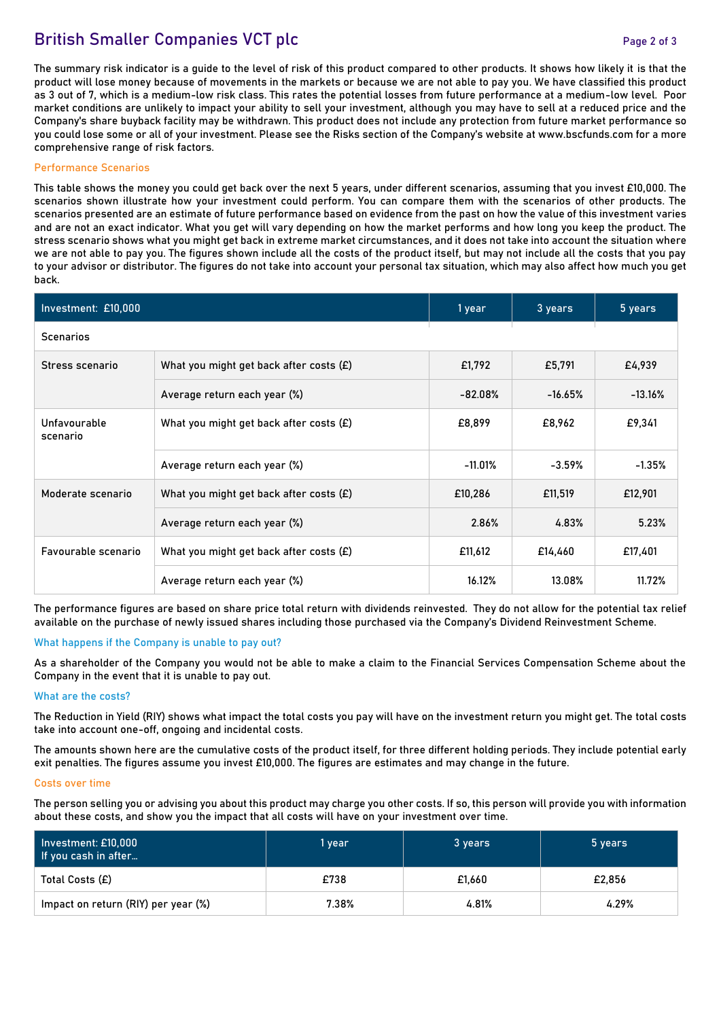# **British Smaller Companies VCT plc** *Page 2 of 3*

**The summary risk indicator is a guide to the level of risk of this product compared to other products. It shows how likely it is that the product will lose money because of movements in the markets or because we are not able to pay you. We have classified this product as 3 out of 7, which is a medium-low risk class. This rates the potential losses from future performance at a medium-low level. Poor market conditions are unlikely to impact your ability to sell your investment, although you may have to sell at a reduced price and the Company's share buyback facility may be withdrawn. This product does not include any protection from future market performance so you could lose some or all of your investment. Please see the Risks section of the Company's website at www.bscfunds.com for a more comprehensive range of risk factors.**

#### **Performance Scenarios**

**This table shows the money you could get back over the next 5 years, under different scenarios, assuming that you invest £10,000. The scenarios shown illustrate how your investment could perform. You can compare them with the scenarios of other products. The scenarios presented are an estimate of future performance based on evidence from the past on how the value of this investment varies and are not an exact indicator. What you get will vary depending on how the market performs and how long you keep the product. The stress scenario shows what you might get back in extreme market circumstances, and it does not take into account the situation where we are not able to pay you. The figures shown include all the costs of the product itself, but may not include all the costs that you pay to your advisor or distributor. The figures do not take into account your personal tax situation, which may also affect how much you get back.** 

| Investment: £10,000      | 1 year                                    | 3 years    | 5 years   |           |  |  |  |  |
|--------------------------|-------------------------------------------|------------|-----------|-----------|--|--|--|--|
| <b>Scenarios</b>         |                                           |            |           |           |  |  |  |  |
| Stress scenario          | What you might get back after costs $(E)$ | £1,792     | £5,791    | £4,939    |  |  |  |  |
|                          | Average return each year (%)              | $-82.08%$  | $-16.65%$ | $-13.16%$ |  |  |  |  |
| Unfavourable<br>scenario | What you might get back after costs (£)   | £8,899     | £8,962    | £9,341    |  |  |  |  |
|                          | Average return each year (%)              | $-11.01\%$ | $-3.59%$  | $-1.35%$  |  |  |  |  |
| Moderate scenario        | What you might get back after costs $(E)$ | £10,286    | £11,519   | £12,901   |  |  |  |  |
|                          | Average return each year (%)              | 2.86%      | 4.83%     | 5.23%     |  |  |  |  |
| Favourable scenario      | What you might get back after costs $(E)$ | £11,612    | £14,460   | £17,401   |  |  |  |  |
|                          | Average return each year (%)              | 16.12%     | 13.08%    | 11.72%    |  |  |  |  |

**The performance figures are based on share price total return with dividends reinvested. They do not allow for the potential tax relief available on the purchase of newly issued shares including those purchased via the Company's Dividend Reinvestment Scheme.**

## **What happens if the Company is unable to pay out?**

**As a shareholder of the Company you would not be able to make a claim to the Financial Services Compensation Scheme about the Company in the event that it is unable to pay out.**

## **What are the costs?**

**The Reduction in Yield (RIY) shows what impact the total costs you pay will have on the investment return you might get. The total costs take into account one-off, ongoing and incidental costs.**

**The amounts shown here are the cumulative costs of the product itself, for three different holding periods. They include potential early exit penalties. The figures assume you invest £10,000. The figures are estimates and may change in the future.**

#### **Costs over time**

**The person selling you or advising you about this product may charge you other costs. If so, this person will provide you with information about these costs, and show you the impact that all costs will have on your investment over time.**

| Investment: £10,000<br>If you cash in after | 1 year | 3 years | 5 years |
|---------------------------------------------|--------|---------|---------|
| Total Costs (£)                             | £738   | £1.660  | £2.856  |
| Impact on return (RIY) per year (%)         | 7.38%  | 4.81%   | 4.29%   |